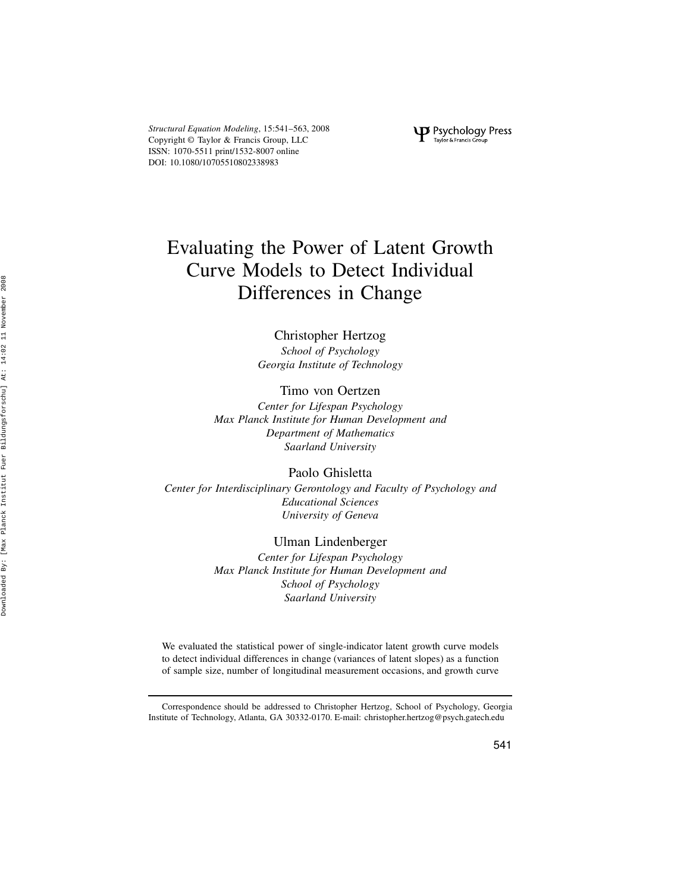Structural Equation Modeling, 15:541–563, 2008 Copyright © Taylor & Francis Group, LLC ISSN: 1070-5511 print/1532-8007 online DOI: 10.1080/10705510802338983

P Psychology Press

# Evaluating the Power of Latent Growth Curve Models to Detect Individual Differences in Change

# Christopher Hertzog

School of Psychology Georgia Institute of Technology

Timo von Oertzen

Center for Lifespan Psychology Max Planck Institute for Human Development and Department of Mathematics Saarland University

Paolo Ghisletta

Center for Interdisciplinary Gerontology and Faculty of Psychology and Educational Sciences University of Geneva

# Ulman Lindenberger

Center for Lifespan Psychology Max Planck Institute for Human Development and School of Psychology Saarland University

We evaluated the statistical power of single-indicator latent growth curve models to detect individual differences in change (variances of latent slopes) as a function of sample size, number of longitudinal measurement occasions, and growth curve

Correspondence should be addressed to Christopher Hertzog, School of Psychology, Georgia Institute of Technology, Atlanta, GA 30332-0170. E-mail: christopher.hertzog@psych.gatech.edu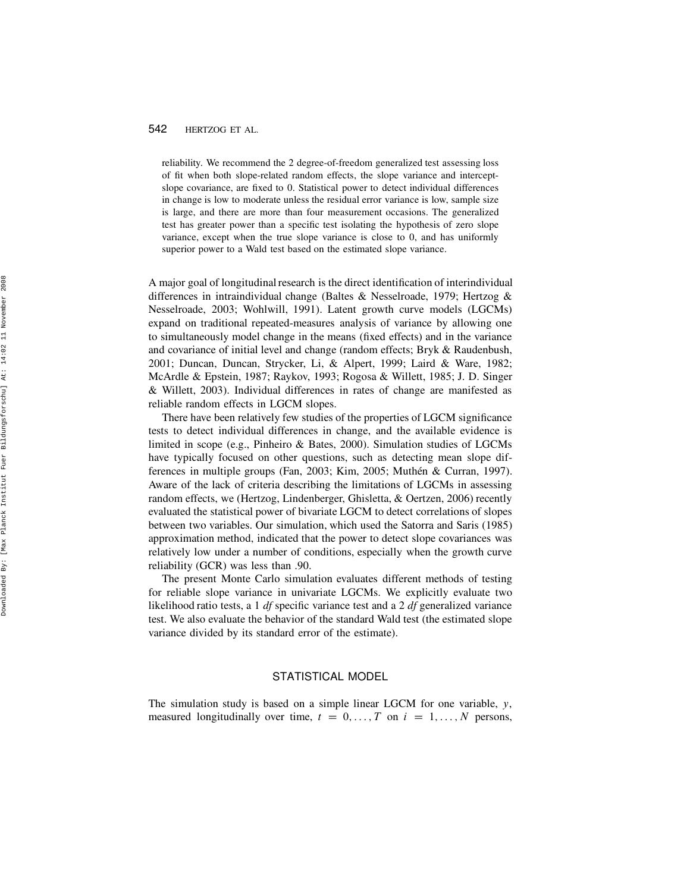reliability. We recommend the 2 degree-of-freedom generalized test assessing loss of fit when both slope-related random effects, the slope variance and interceptslope covariance, are fixed to 0. Statistical power to detect individual differences in change is low to moderate unless the residual error variance is low, sample size is large, and there are more than four measurement occasions. The generalized test has greater power than a specific test isolating the hypothesis of zero slope variance, except when the true slope variance is close to 0, and has uniformly superior power to a Wald test based on the estimated slope variance.

A major goal of longitudinal research is the direct identification of interindividual differences in intraindividual change (Baltes & Nesselroade, 1979; Hertzog & Nesselroade, 2003; Wohlwill, 1991). Latent growth curve models (LGCMs) expand on traditional repeated-measures analysis of variance by allowing one to simultaneously model change in the means (fixed effects) and in the variance and covariance of initial level and change (random effects; Bryk & Raudenbush, 2001; Duncan, Duncan, Strycker, Li, & Alpert, 1999; Laird & Ware, 1982; McArdle & Epstein, 1987; Raykov, 1993; Rogosa & Willett, 1985; J. D. Singer & Willett, 2003). Individual differences in rates of change are manifested as reliable random effects in LGCM slopes.

There have been relatively few studies of the properties of LGCM significance tests to detect individual differences in change, and the available evidence is limited in scope (e.g., Pinheiro & Bates, 2000). Simulation studies of LGCMs have typically focused on other questions, such as detecting mean slope differences in multiple groups (Fan, 2003; Kim, 2005; Muthén & Curran, 1997). Aware of the lack of criteria describing the limitations of LGCMs in assessing random effects, we (Hertzog, Lindenberger, Ghisletta, & Oertzen, 2006) recently evaluated the statistical power of bivariate LGCM to detect correlations of slopes between two variables. Our simulation, which used the Satorra and Saris (1985) approximation method, indicated that the power to detect slope covariances was relatively low under a number of conditions, especially when the growth curve reliability (GCR) was less than .90.

The present Monte Carlo simulation evaluates different methods of testing for reliable slope variance in univariate LGCMs. We explicitly evaluate two likelihood ratio tests, a 1 df specific variance test and a 2 df generalized variance test. We also evaluate the behavior of the standard Wald test (the estimated slope variance divided by its standard error of the estimate).

# STATISTICAL MODEL

The simulation study is based on a simple linear LGCM for one variable, y, measured longitudinally over time,  $t = 0, \ldots, T$  on  $i = 1, \ldots, N$  persons,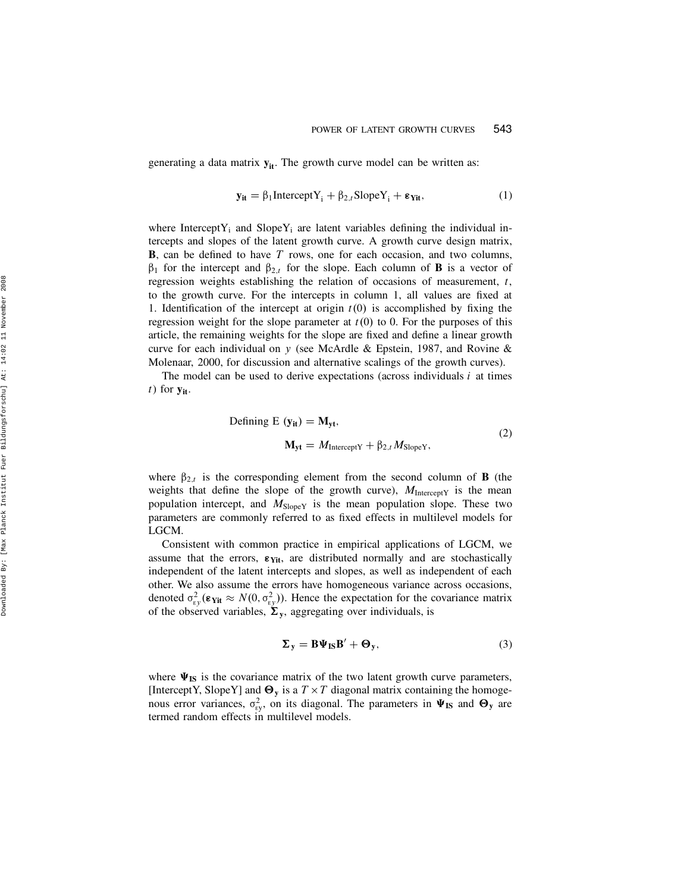generating a data matrix  $y_{it}$ . The growth curve model can be written as:

$$
\mathbf{y}_{it} = \beta_1 \text{Intercept} Y_i + \beta_{2,t} \text{Slope} Y_i + \epsilon_{\text{Yit}}, \tag{1}
$$

where Intercept  $Y_i$  and Slope  $Y_i$  are latent variables defining the individual intercepts and slopes of the latent growth curve. A growth curve design matrix, **B**, can be defined to have  $T$  rows, one for each occasion, and two columns,  $\beta_1$  for the intercept and  $\beta_{2,t}$  for the slope. Each column of **B** is a vector of regression weights establishing the relation of occasions of measurement, t, to the growth curve. For the intercepts in column 1, all values are fixed at 1. Identification of the intercept at origin  $t(0)$  is accomplished by fixing the regression weight for the slope parameter at  $t(0)$  to 0. For the purposes of this article, the remaining weights for the slope are fixed and define a linear growth curve for each individual on y (see McArdle & Epstein, 1987, and Rovine & Molenaar, 2000, for discussion and alternative scalings of the growth curves).

The model can be used to derive expectations (across individuals  $i$  at times  $t)$  for  $y_{it}$ .

Defining E 
$$
(y_{it}) = M_{yt}
$$
,  
\n
$$
M_{yt} = M_{\text{InterceptY}} + \beta_{2,t} M_{\text{SlopeY}},
$$
\n(2)

where  $\beta_{2,t}$  is the corresponding element from the second column of **B** (the weights that define the slope of the growth curve),  $M_{\text{InterceptY}}$  is the mean population intercept, and  $M_{SlopeY}$  is the mean population slope. These two parameters are commonly referred to as fixed effects in multilevel models for LGCM.

Consistent with common practice in empirical applications of LGCM, we assume that the errors,  $\varepsilon_{\text{Yit}}$ , are distributed normally and are stochastically independent of the latent intercepts and slopes, as well as independent of each other. We also assume the errors have homogeneous variance across occasions, denoted  $\sigma_{\rm cy}^2(\epsilon_{\rm Yit} \approx N(0, \sigma_{\rm cy}^2))$ . Hence the expectation for the covariance matrix of the observed variables,  $\Sigma_y$ , aggregating over individuals, is

$$
\Sigma_{y} = B\Psi_{IS}B' + \Theta_{y},\tag{3}
$$

where  $\Psi_{\text{IS}}$  is the covariance matrix of the two latent growth curve parameters, [InterceptY, SlopeY] and  $\Theta_y$  is a  $T \times T$  diagonal matrix containing the homogenous error variances,  $\sigma_{\rm{ey}}^2$ , on its diagonal. The parameters in  $\Psi_{\rm{IS}}$  and  $\Theta_{\rm{y}}$  are termed random effects in multilevel models.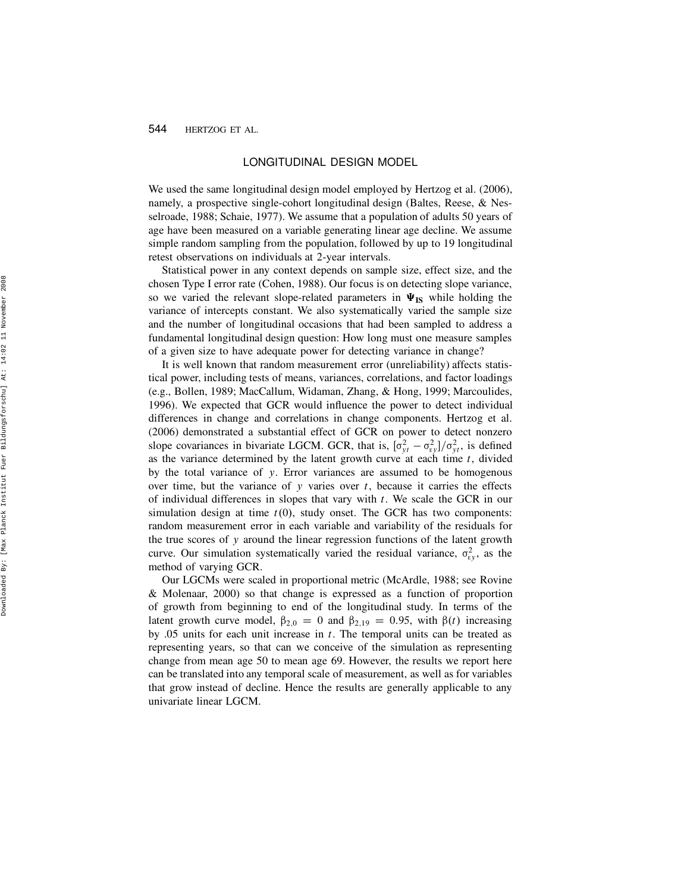## LONGITUDINAL DESIGN MODEL

We used the same longitudinal design model employed by Hertzog et al. (2006), namely, a prospective single-cohort longitudinal design (Baltes, Reese, & Nesselroade, 1988; Schaie, 1977). We assume that a population of adults 50 years of age have been measured on a variable generating linear age decline. We assume simple random sampling from the population, followed by up to 19 longitudinal retest observations on individuals at 2-year intervals.

Statistical power in any context depends on sample size, effect size, and the chosen Type I error rate (Cohen, 1988). Our focus is on detecting slope variance, so we varied the relevant slope-related parameters in  $\Psi_{IS}$  while holding the variance of intercepts constant. We also systematically varied the sample size and the number of longitudinal occasions that had been sampled to address a fundamental longitudinal design question: How long must one measure samples of a given size to have adequate power for detecting variance in change?

It is well known that random measurement error (unreliability) affects statistical power, including tests of means, variances, correlations, and factor loadings (e.g., Bollen, 1989; MacCallum, Widaman, Zhang, & Hong, 1999; Marcoulides, 1996). We expected that GCR would influence the power to detect individual differences in change and correlations in change components. Hertzog et al. (2006) demonstrated a substantial effect of GCR on power to detect nonzero slope covariances in bivariate LGCM. GCR, that is,  $[\sigma_{yt}^2 - \sigma_{ey}^2]/\sigma_{yt}^2$ , is defined as the variance determined by the latent growth curve at each time  $t$ , divided by the total variance of y. Error variances are assumed to be homogenous over time, but the variance of  $y$  varies over  $t$ , because it carries the effects of individual differences in slopes that vary with  $t$ . We scale the GCR in our simulation design at time  $t(0)$ , study onset. The GCR has two components: random measurement error in each variable and variability of the residuals for the true scores of y around the linear regression functions of the latent growth curve. Our simulation systematically varied the residual variance,  $\sigma_{\rm{gy}}^2$ , as the method of varying GCR.

Our LGCMs were scaled in proportional metric (McArdle, 1988; see Rovine & Molenaar, 2000) so that change is expressed as a function of proportion of growth from beginning to end of the longitudinal study. In terms of the latent growth curve model,  $\beta_{2,0} = 0$  and  $\beta_{2,19} = 0.95$ , with  $\beta(t)$  increasing by .05 units for each unit increase in  $t$ . The temporal units can be treated as representing years, so that can we conceive of the simulation as representing change from mean age 50 to mean age 69. However, the results we report here can be translated into any temporal scale of measurement, as well as for variables that grow instead of decline. Hence the results are generally applicable to any univariate linear LGCM.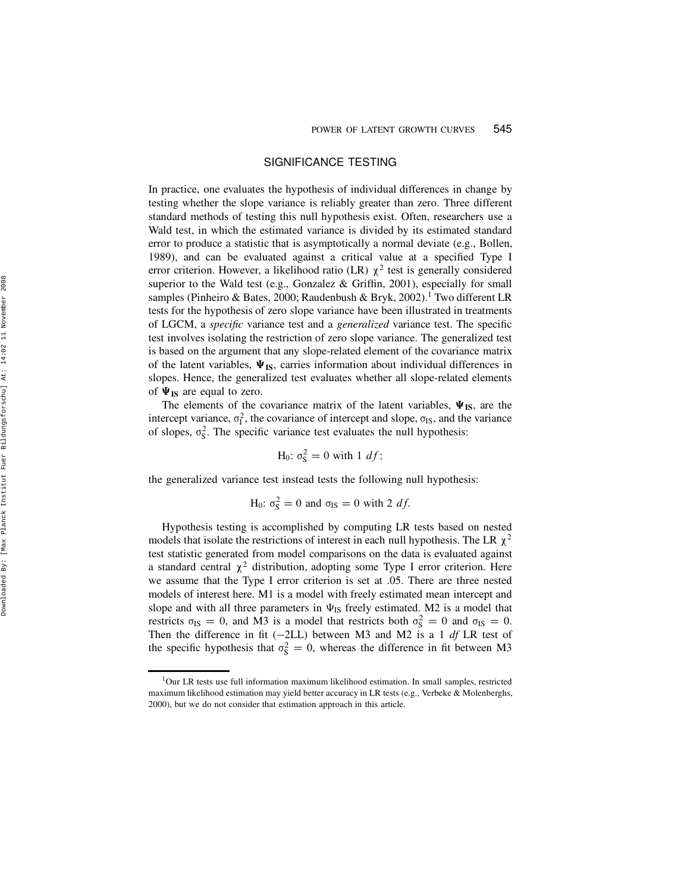## SIGNIFICANCE TESTING

In practice, one evaluates the hypothesis of individual differences in change by testing whether the slope variance is reliably greater than zero. Three different standard methods of testing this null hypothesis exist. Often, researchers use a Wald test, in which the estimated variance is divided by its estimated standard error to produce a statistic that is asymptotically a normal deviate (e.g., Bollen, 1989), and can be evaluated against a critical value at a specified Type I error criterion. However, a likelihood ratio (LR)  $\chi^2$  test is generally considered superior to the Wald test (e.g., Gonzalez  $\&$  Griffin, 2001), especially for small samples (Pinheiro & Bates, 2000; Raudenbush & Bryk, 2002).<sup>1</sup> Two different LR tests for the hypothesis of zero slope variance have been illustrated in treatments of LGCM, a specific variance test and a generalized variance test. The specific test involves isolating the restriction of zero slope variance. The generalized test is based on the argument that any slope-related element of the covariance matrix of the latent variables,  $\Psi_{IS}$ , carries information about individual differences in slopes. Hence, the generalized test evaluates whether all slope-related elements of  $\Psi_{\text{IS}}$  are equal to zero.

The elements of the covariance matrix of the latent variables,  $\Psi_{IS}$ , are the intercept variance,  $\sigma_{\rm I}^2$ , the covariance of intercept and slope,  $\sigma_{\rm IS}$ , and the variance of slopes,  $\sigma_S^2$ . The specific variance test evaluates the null hypothesis:

$$
H_0: \sigma_S^2 = 0 \text{ with } 1 \text{ df};
$$

the generalized variance test instead tests the following null hypothesis:

H<sub>0</sub>: 
$$
\sigma_S^2 = 0
$$
 and  $\sigma_{IS} = 0$  with 2 df.

Hypothesis testing is accomplished by computing LR tests based on nested models that isolate the restrictions of interest in each null hypothesis. The LR  $\chi^2$ test statistic generated from model comparisons on the data is evaluated against a standard central  $\chi^2$  distribution, adopting some Type I error criterion. Here we assume that the Type I error criterion is set at .05. There are three nested models of interest here. M1 is a model with freely estimated mean intercept and slope and with all three parameters in  $\Psi_{IS}$  freely estimated. M2 is a model that restricts  $\sigma_{IS} = 0$ , and M3 is a model that restricts both  $\sigma_S^2 = 0$  and  $\sigma_{IS} = 0$ . Then the difference in fit  $(-2LL)$  between M3 and M2 is a 1 df LR test of the specific hypothesis that  $\sigma_S^2 = 0$ , whereas the difference in fit between M3

<sup>&</sup>lt;sup>1</sup>Our LR tests use full information maximum likelihood estimation. In small samples, restricted maximum likelihood estimation may yield better accuracy in LR tests (e.g., Verbeke & Molenberghs, 2000), but we do not consider that estimation approach in this article.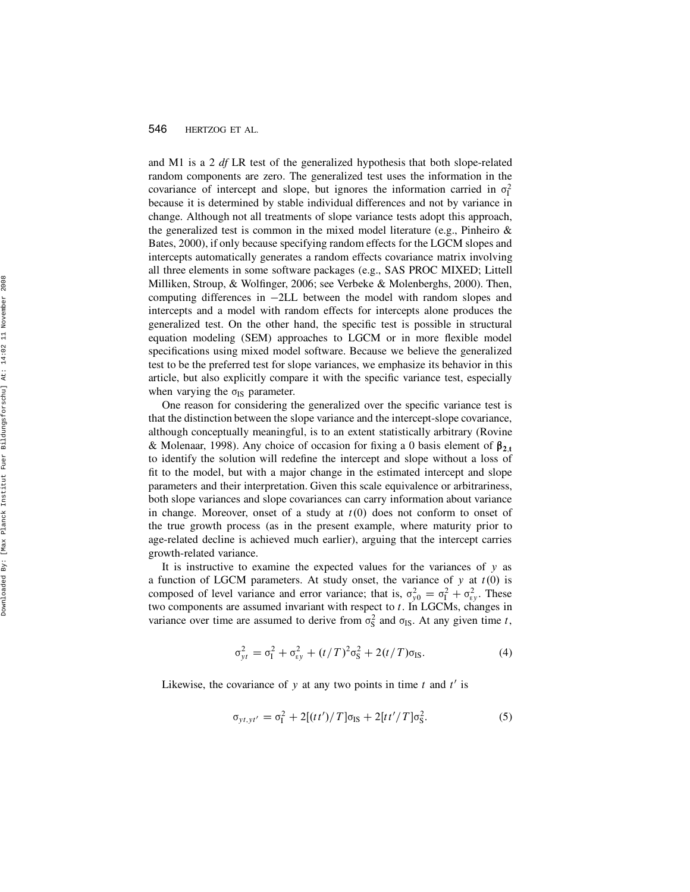and M1 is a 2  $df$  LR test of the generalized hypothesis that both slope-related random components are zero. The generalized test uses the information in the covariance of intercept and slope, but ignores the information carried in  $\sigma_{I}^{2}$ because it is determined by stable individual differences and not by variance in change. Although not all treatments of slope variance tests adopt this approach, the generalized test is common in the mixed model literature (e.g., Pinheiro & Bates, 2000), if only because specifying random effects for the LGCM slopes and intercepts automatically generates a random effects covariance matrix involving all three elements in some software packages (e.g., SAS PROC MIXED; Littell Milliken, Stroup, & Wolfinger, 2006; see Verbeke & Molenberghs, 2000). Then, computing differences in 2LL between the model with random slopes and intercepts and a model with random effects for intercepts alone produces the generalized test. On the other hand, the specific test is possible in structural equation modeling (SEM) approaches to LGCM or in more flexible model specifications using mixed model software. Because we believe the generalized test to be the preferred test for slope variances, we emphasize its behavior in this article, but also explicitly compare it with the specific variance test, especially when varying the  $\sigma_{IS}$  parameter.

One reason for considering the generalized over the specific variance test is that the distinction between the slope variance and the intercept-slope covariance, although conceptually meaningful, is to an extent statistically arbitrary (Rovine & Molenaar, 1998). Any choice of occasion for fixing a 0 basis element of  $\beta_{2,t}$ to identify the solution will redefine the intercept and slope without a loss of fit to the model, but with a major change in the estimated intercept and slope parameters and their interpretation. Given this scale equivalence or arbitrariness, both slope variances and slope covariances can carry information about variance in change. Moreover, onset of a study at  $t(0)$  does not conform to onset of the true growth process (as in the present example, where maturity prior to age-related decline is achieved much earlier), arguing that the intercept carries growth-related variance.

It is instructive to examine the expected values for the variances of  $y$  as a function of LGCM parameters. At study onset, the variance of  $y$  at  $t(0)$  is composed of level variance and error variance; that is,  $\sigma_{y0}^2 = \sigma_{\rm I}^2 + \sigma_{\rm sy}^2$ . These two components are assumed invariant with respect to  $t$ . In LGCMs, changes in variance over time are assumed to derive from  $\sigma_S^2$  and  $\sigma_{IS}$ . At any given time t,

$$
\sigma_{yt}^2 = \sigma_{I}^2 + \sigma_{ey}^2 + (t/T)^2 \sigma_{S}^2 + 2(t/T) \sigma_{IS}.
$$
 (4)

Likewise, the covariance of y at any two points in time  $t$  and  $t'$  is

$$
\sigma_{y\,, y\,t'} = \sigma_{\rm I}^2 + 2[(t\,t')/T]\sigma_{\rm IS} + 2[t\,t'/T]\sigma_{\rm S}^2. \tag{5}
$$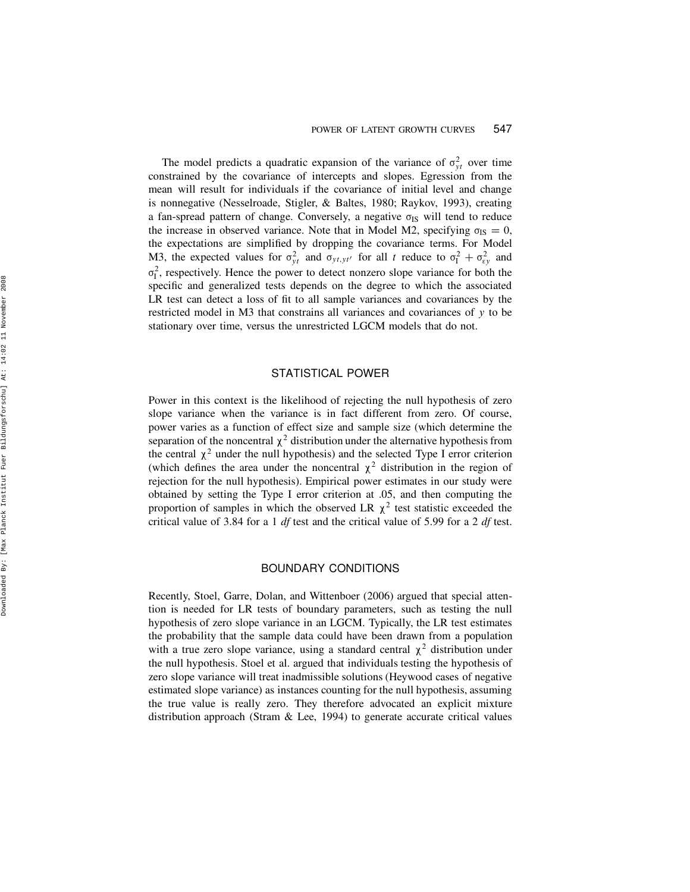The model predicts a quadratic expansion of the variance of  $\sigma_{yt}^2$  over time constrained by the covariance of intercepts and slopes. Egression from the mean will result for individuals if the covariance of initial level and change is nonnegative (Nesselroade, Stigler, & Baltes, 1980; Raykov, 1993), creating a fan-spread pattern of change. Conversely, a negative  $\sigma_{IS}$  will tend to reduce the increase in observed variance. Note that in Model M2, specifying  $\sigma_{IS} = 0$ , the expectations are simplified by dropping the covariance terms. For Model M3, the expected values for  $\sigma_{yt}^2$  and  $\sigma_{yt,yt'}$  for all t reduce to  $\sigma_{I}^2 + \sigma_{sy}^2$  and  $\sigma_{\text{I}}^2$ , respectively. Hence the power to detect nonzero slope variance for both the specific and generalized tests depends on the degree to which the associated LR test can detect a loss of fit to all sample variances and covariances by the restricted model in M3 that constrains all variances and covariances of y to be stationary over time, versus the unrestricted LGCM models that do not.

# STATISTICAL POWER

Power in this context is the likelihood of rejecting the null hypothesis of zero slope variance when the variance is in fact different from zero. Of course, power varies as a function of effect size and sample size (which determine the separation of the noncentral  $\chi^2$  distribution under the alternative hypothesis from the central  $\chi^2$  under the null hypothesis) and the selected Type I error criterion (which defines the area under the noncentral  $\chi^2$  distribution in the region of rejection for the null hypothesis). Empirical power estimates in our study were obtained by setting the Type I error criterion at .05, and then computing the proportion of samples in which the observed LR  $\chi^2$  test statistic exceeded the critical value of 3.84 for a 1 df test and the critical value of 5.99 for a 2 df test.

## BOUNDARY CONDITIONS

Recently, Stoel, Garre, Dolan, and Wittenboer (2006) argued that special attention is needed for LR tests of boundary parameters, such as testing the null hypothesis of zero slope variance in an LGCM. Typically, the LR test estimates the probability that the sample data could have been drawn from a population with a true zero slope variance, using a standard central  $\chi^2$  distribution under the null hypothesis. Stoel et al. argued that individuals testing the hypothesis of zero slope variance will treat inadmissible solutions (Heywood cases of negative estimated slope variance) as instances counting for the null hypothesis, assuming the true value is really zero. They therefore advocated an explicit mixture distribution approach (Stram & Lee, 1994) to generate accurate critical values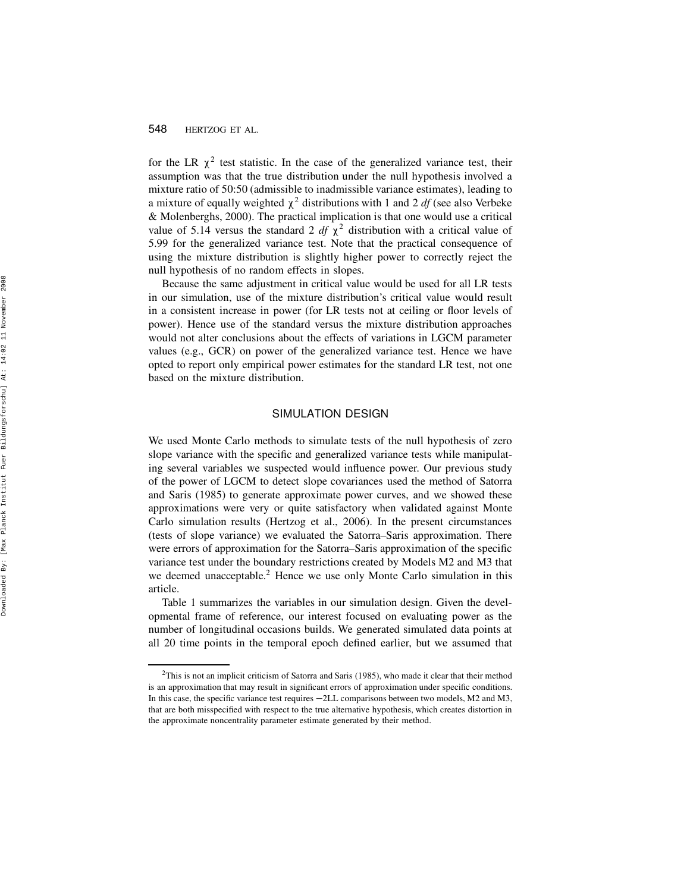for the LR  $\chi^2$  test statistic. In the case of the generalized variance test, their assumption was that the true distribution under the null hypothesis involved a mixture ratio of 50:50 (admissible to inadmissible variance estimates), leading to a mixture of equally weighted  $\chi^2$  distributions with 1 and 2 *df* (see also Verbeke & Molenberghs, 2000). The practical implication is that one would use a critical value of 5.14 versus the standard 2  $df \chi^2$  distribution with a critical value of 5.99 for the generalized variance test. Note that the practical consequence of using the mixture distribution is slightly higher power to correctly reject the null hypothesis of no random effects in slopes.

Because the same adjustment in critical value would be used for all LR tests in our simulation, use of the mixture distribution's critical value would result in a consistent increase in power (for LR tests not at ceiling or floor levels of power). Hence use of the standard versus the mixture distribution approaches would not alter conclusions about the effects of variations in LGCM parameter values (e.g., GCR) on power of the generalized variance test. Hence we have opted to report only empirical power estimates for the standard LR test, not one based on the mixture distribution.

#### SIMULATION DESIGN

We used Monte Carlo methods to simulate tests of the null hypothesis of zero slope variance with the specific and generalized variance tests while manipulating several variables we suspected would influence power. Our previous study of the power of LGCM to detect slope covariances used the method of Satorra and Saris (1985) to generate approximate power curves, and we showed these approximations were very or quite satisfactory when validated against Monte Carlo simulation results (Hertzog et al., 2006). In the present circumstances (tests of slope variance) we evaluated the Satorra–Saris approximation. There were errors of approximation for the Satorra–Saris approximation of the specific variance test under the boundary restrictions created by Models M2 and M3 that we deemed unacceptable. <sup>2</sup> Hence we use only Monte Carlo simulation in this article.

Table 1 summarizes the variables in our simulation design. Given the developmental frame of reference, our interest focused on evaluating power as the number of longitudinal occasions builds. We generated simulated data points at all 20 time points in the temporal epoch defined earlier, but we assumed that

 $2$ This is not an implicit criticism of Satorra and Saris (1985), who made it clear that their method is an approximation that may result in significant errors of approximation under specific conditions. In this case, the specific variance test requires  $-2LL$  comparisons between two models, M2 and M3, that are both misspecified with respect to the true alternative hypothesis, which creates distortion in the approximate noncentrality parameter estimate generated by their method.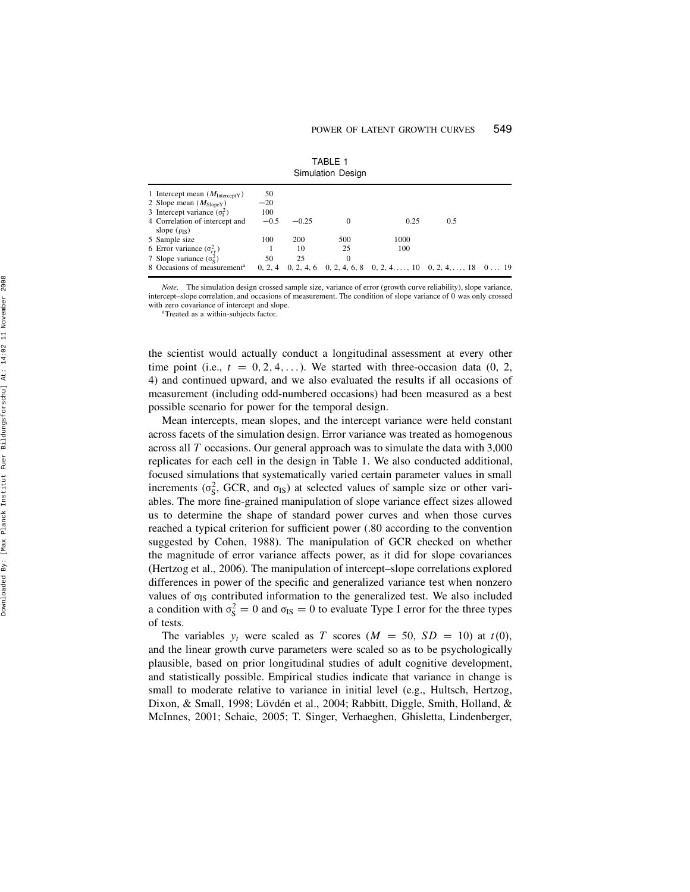| Simulation Design                                                                                                |                    |         |     |                                                                                        |     |  |  |
|------------------------------------------------------------------------------------------------------------------|--------------------|---------|-----|----------------------------------------------------------------------------------------|-----|--|--|
| 1 Intercept mean $(M_{\text{InterceptY}})$<br>2 Slope mean $(M_{SlopeY})$<br>3 Intercept variance $(\sigma_1^2)$ | 50<br>$-20$<br>100 |         |     |                                                                                        |     |  |  |
| 4 Correlation of intercept and<br>slope $(\rho_{IS})$                                                            | $-0.5$             | $-0.25$ | 0   | 0.25                                                                                   | 0.5 |  |  |
| 5 Sample size                                                                                                    | 100                | 200     | 500 | 1000                                                                                   |     |  |  |
| 6 Error variance $(\sigma_{\rm sv}^2)$                                                                           |                    | 10      | 25  | 100                                                                                    |     |  |  |
| 7 Slope variance $(\sigma_{\rm s}^2)$<br>8 Occasions of measurement <sup>a</sup>                                 | 50<br>0, 2, 4      | 25      | 0   | $0, 2, 4, 6$ $0, 2, 4, 6, 8$ $0, 2, 4, \ldots, 10$ $0, 2, 4, \ldots, 18$ $0 \ldots 19$ |     |  |  |

TABLE 1

Note. The simulation design crossed sample size, variance of error (growth curve reliability), slope variance, intercept–slope correlation, and occasions of measurement. The condition of slope variance of 0 was only crossed with zero covariance of intercept and slope.

<sup>a</sup>Treated as a within-subjects factor.

the scientist would actually conduct a longitudinal assessment at every other time point (i.e.,  $t = 0, 2, 4, \ldots$ ). We started with three-occasion data (0, 2, 4) and continued upward, and we also evaluated the results if all occasions of measurement (including odd-numbered occasions) had been measured as a best possible scenario for power for the temporal design.

Mean intercepts, mean slopes, and the intercept variance were held constant across facets of the simulation design. Error variance was treated as homogenous across all T occasions. Our general approach was to simulate the data with 3,000 replicates for each cell in the design in Table 1. We also conducted additional, focused simulations that systematically varied certain parameter values in small increments ( $\sigma_S^2$ , GCR, and  $\sigma_{IS}$ ) at selected values of sample size or other variables. The more fine-grained manipulation of slope variance effect sizes allowed us to determine the shape of standard power curves and when those curves reached a typical criterion for sufficient power (.80 according to the convention suggested by Cohen, 1988). The manipulation of GCR checked on whether the magnitude of error variance affects power, as it did for slope covariances (Hertzog et al., 2006). The manipulation of intercept–slope correlations explored differences in power of the specific and generalized variance test when nonzero values of  $\sigma_{IS}$  contributed information to the generalized test. We also included a condition with  $\sigma_S^2 = 0$  and  $\sigma_{IS} = 0$  to evaluate Type I error for the three types of tests.

The variables  $y_t$  were scaled as T scores ( $M = 50$ ,  $SD = 10$ ) at  $t(0)$ , and the linear growth curve parameters were scaled so as to be psychologically plausible, based on prior longitudinal studies of adult cognitive development, and statistically possible. Empirical studies indicate that variance in change is small to moderate relative to variance in initial level (e.g., Hultsch, Hertzog, Dixon, & Small, 1998; Lövdén et al., 2004; Rabbitt, Diggle, Smith, Holland, & McInnes, 2001; Schaie, 2005; T. Singer, Verhaeghen, Ghisletta, Lindenberger,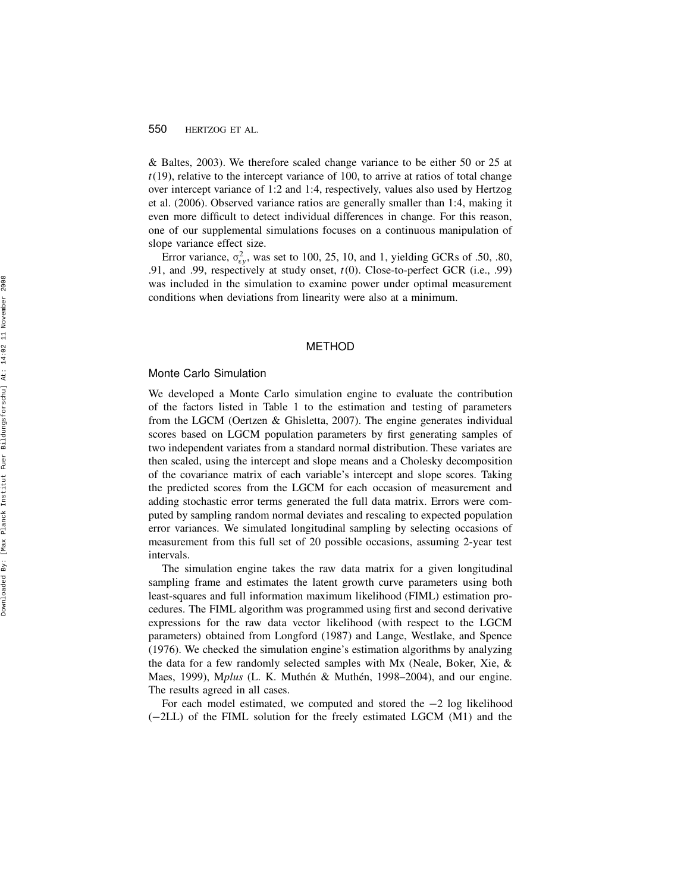& Baltes, 2003). We therefore scaled change variance to be either 50 or 25 at  $t(19)$ , relative to the intercept variance of 100, to arrive at ratios of total change over intercept variance of 1:2 and 1:4, respectively, values also used by Hertzog et al. (2006). Observed variance ratios are generally smaller than 1:4, making it even more difficult to detect individual differences in change. For this reason, one of our supplemental simulations focuses on a continuous manipulation of slope variance effect size.

Error variance,  $\sigma_{\rm{ey}}^2$ , was set to 100, 25, 10, and 1, yielding GCRs of .50, .80, .91, and .99, respectively at study onset, t(0). Close-to-perfect GCR (i.e., .99) was included in the simulation to examine power under optimal measurement conditions when deviations from linearity were also at a minimum.

#### METHOD

#### Monte Carlo Simulation

We developed a Monte Carlo simulation engine to evaluate the contribution of the factors listed in Table 1 to the estimation and testing of parameters from the LGCM (Oertzen & Ghisletta, 2007). The engine generates individual scores based on LGCM population parameters by first generating samples of two independent variates from a standard normal distribution. These variates are then scaled, using the intercept and slope means and a Cholesky decomposition of the covariance matrix of each variable's intercept and slope scores. Taking the predicted scores from the LGCM for each occasion of measurement and adding stochastic error terms generated the full data matrix. Errors were computed by sampling random normal deviates and rescaling to expected population error variances. We simulated longitudinal sampling by selecting occasions of measurement from this full set of 20 possible occasions, assuming 2-year test intervals.

The simulation engine takes the raw data matrix for a given longitudinal sampling frame and estimates the latent growth curve parameters using both least-squares and full information maximum likelihood (FIML) estimation procedures. The FIML algorithm was programmed using first and second derivative expressions for the raw data vector likelihood (with respect to the LGCM parameters) obtained from Longford (1987) and Lange, Westlake, and Spence (1976). We checked the simulation engine's estimation algorithms by analyzing the data for a few randomly selected samples with Mx (Neale, Boker, Xie, & Maes, 1999), Mplus (L. K. Muthén & Muthén, 1998–2004), and our engine. The results agreed in all cases.

For each model estimated, we computed and stored the  $-2$  log likelihood ( 2LL) of the FIML solution for the freely estimated LGCM (M1) and the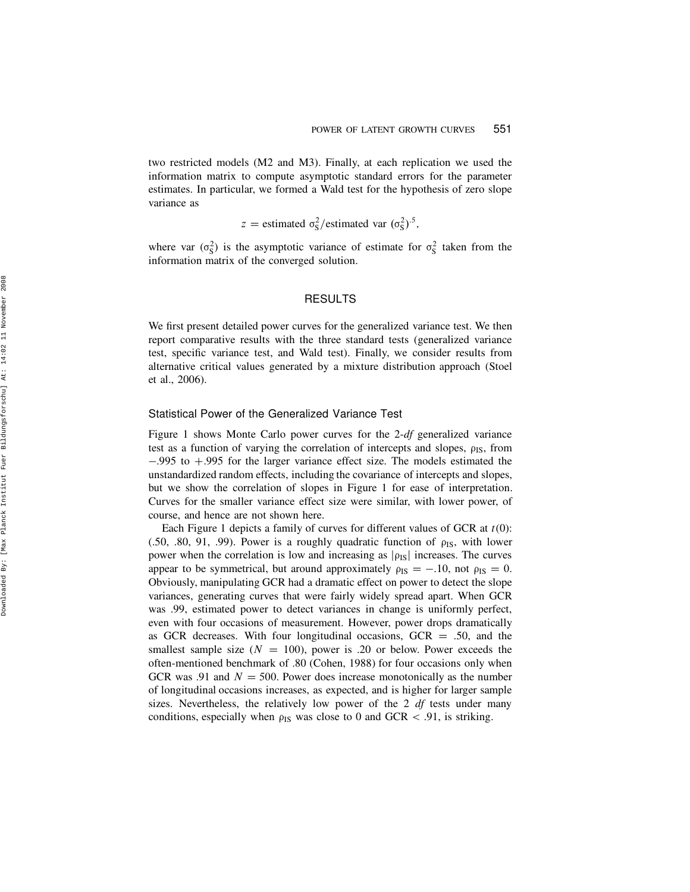two restricted models (M2 and M3). Finally, at each replication we used the information matrix to compute asymptotic standard errors for the parameter estimates. In particular, we formed a Wald test for the hypothesis of zero slope variance as

z = estimated  $\sigma_S^2$ /estimated var  $(\sigma_S^2)^{.5}$ ,

where var  $(\sigma_S^2)$  is the asymptotic variance of estimate for  $\sigma_S^2$  taken from the information matrix of the converged solution.

## RESULTS

We first present detailed power curves for the generalized variance test. We then report comparative results with the three standard tests (generalized variance test, specific variance test, and Wald test). Finally, we consider results from alternative critical values generated by a mixture distribution approach (Stoel et al., 2006).

#### Statistical Power of the Generalized Variance Test

Figure 1 shows Monte Carlo power curves for the 2-df generalized variance test as a function of varying the correlation of intercepts and slopes,  $\rho_{IS}$ , from  $-.995$  to  $+.995$  for the larger variance effect size. The models estimated the unstandardized random effects, including the covariance of intercepts and slopes, but we show the correlation of slopes in Figure 1 for ease of interpretation. Curves for the smaller variance effect size were similar, with lower power, of course, and hence are not shown here.

Each Figure 1 depicts a family of curves for different values of GCR at  $t(0)$ : (.50, .80, 91, .99). Power is a roughly quadratic function of  $\rho$ <sub>IS</sub>, with lower power when the correlation is low and increasing as  $|\rho_{IS}|$  increases. The curves appear to be symmetrical, but around approximately  $\rho_{IS} = -.10$ , not  $\rho_{IS} = 0$ . Obviously, manipulating GCR had a dramatic effect on power to detect the slope variances, generating curves that were fairly widely spread apart. When GCR was .99, estimated power to detect variances in change is uniformly perfect, even with four occasions of measurement. However, power drops dramatically as GCR decreases. With four longitudinal occasions,  $GCR = 0.50$ , and the smallest sample size ( $N = 100$ ), power is .20 or below. Power exceeds the often-mentioned benchmark of .80 (Cohen, 1988) for four occasions only when GCR was .91 and  $N = 500$ . Power does increase monotonically as the number of longitudinal occasions increases, as expected, and is higher for larger sample sizes. Nevertheless, the relatively low power of the 2  $df$  tests under many conditions, especially when  $\rho_{IS}$  was close to 0 and GCR < .91, is striking.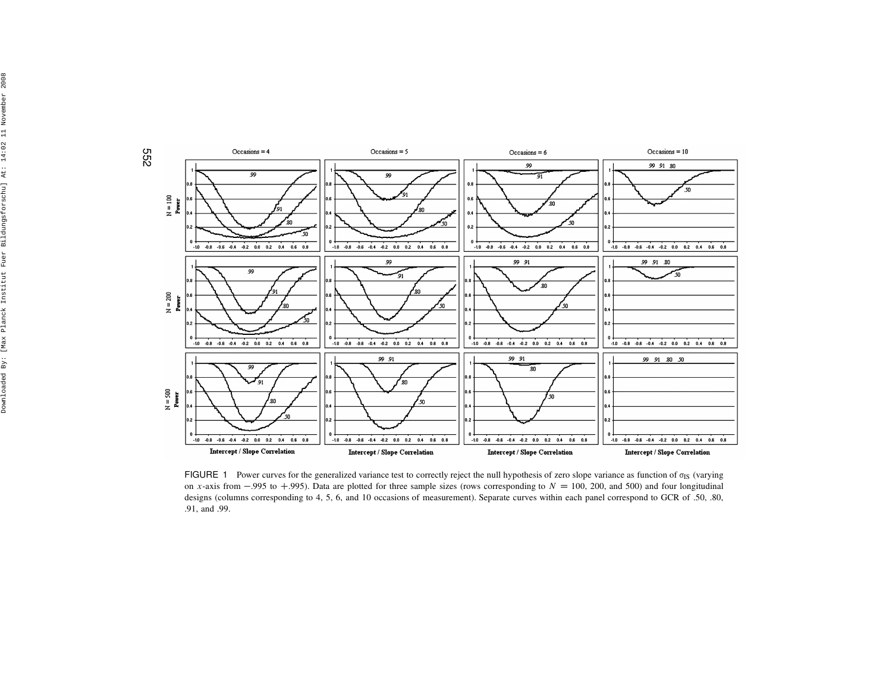

FIGURE 1 Power curves for the generalized variance test to correctly reject the null hypothesis of zero slope variance as function of  $\sigma_{IS}$  (varying on x-axis from -.995 to +.995). Data are plotted for three sample sizes (rows corresponding to  $N = 100$ , 200, and 500) and four longitudinal<br>decisions (columns corresponding to 4.5, 6, and 10 coording of measurement). Sep designs (columns corresponding to 4, 5, 6, and 10 occasions of measurement). Separate curves within each panel correspond to GCR of .50, .80,.91, and .99.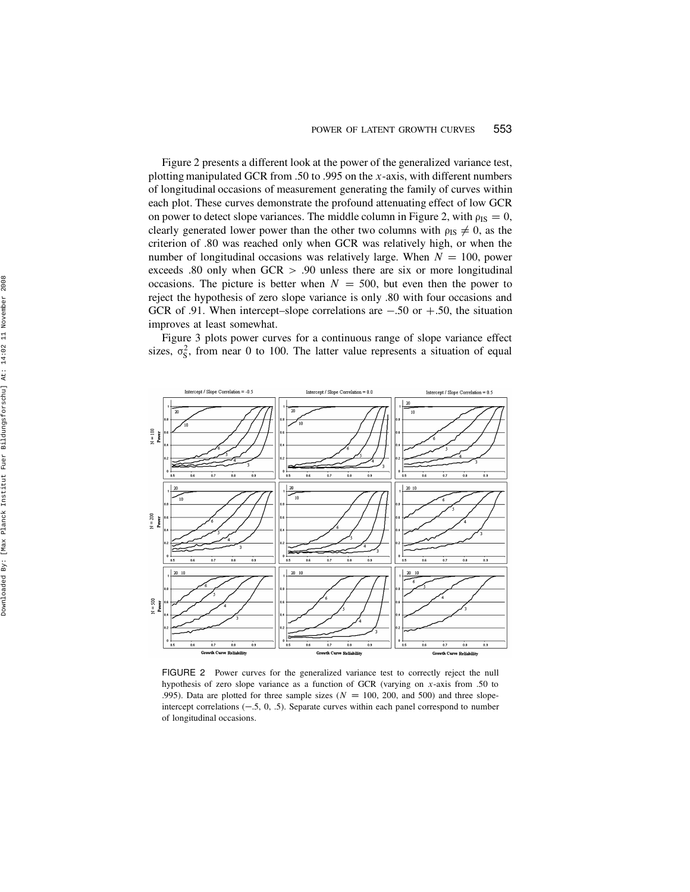Figure 2 presents a different look at the power of the generalized variance test, plotting manipulated GCR from .50 to .995 on the x-axis, with different numbers of longitudinal occasions of measurement generating the family of curves within each plot. These curves demonstrate the profound attenuating effect of low GCR on power to detect slope variances. The middle column in Figure 2, with  $\rho_{IS} = 0$ , clearly generated lower power than the other two columns with  $\rho_{IS} \neq 0$ , as the criterion of .80 was reached only when GCR was relatively high, or when the number of longitudinal occasions was relatively large. When  $N = 100$ , power exceeds .80 only when GCR > .90 unless there are six or more longitudinal occasions. The picture is better when  $N = 500$ , but even then the power to reject the hypothesis of zero slope variance is only .80 with four occasions and GCR of .91. When intercept–slope correlations are  $-.50$  or  $+.50$ , the situation improves at least somewhat.

Figure 3 plots power curves for a continuous range of slope variance effect sizes,  $\sigma_S^2$ , from near 0 to 100. The latter value represents a situation of equal



FIGURE 2 Power curves for the generalized variance test to correctly reject the null hypothesis of zero slope variance as a function of GCR (varying on  $x$ -axis from .50 to .995). Data are plotted for three sample sizes ( $N = 100$ , 200, and 500) and three slopeintercept correlations  $(-.5, 0, .5)$ . Separate curves within each panel correspond to number of longitudinal occasions.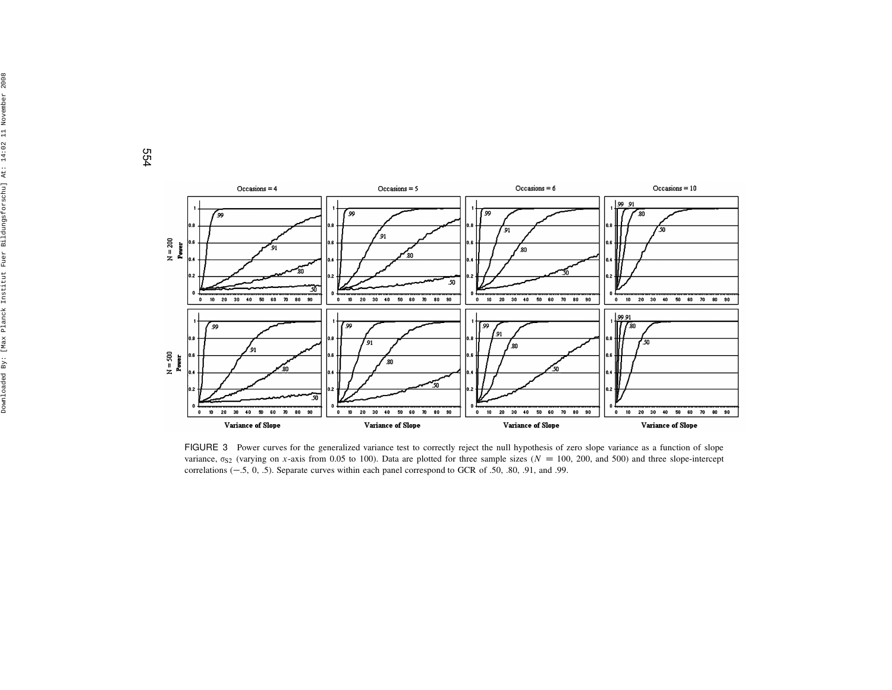554



FIGURE 3 Power curves for the generalized variance test to correctly reject the null hypothesis of zero slope variance as <sup>a</sup> function of slope variance,  $\sigma_{S2}$  (varying on x-axis from 0.05 to 100). Data are plotted for three sample sizes ( $N = 100$ , 200, and 500) and three slope-intercept<br>correlations (5, 0, 5). Separate our vas within angle operational corresp correlations  $(-.5, 0, .5)$ . Separate curves within each panel correspond to GCR of .50, .80, .91, and .99.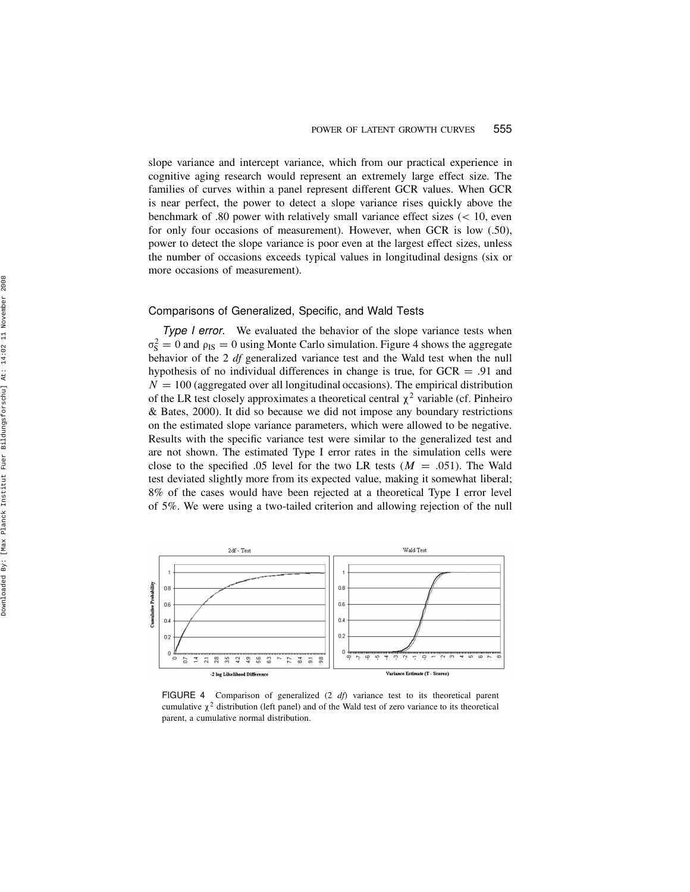slope variance and intercept variance, which from our practical experience in cognitive aging research would represent an extremely large effect size. The families of curves within a panel represent different GCR values. When GCR is near perfect, the power to detect a slope variance rises quickly above the benchmark of .80 power with relatively small variance effect sizes ( < 10, even for only four occasions of measurement). However, when GCR is low (.50), power to detect the slope variance is poor even at the largest effect sizes, unless the number of occasions exceeds typical values in longitudinal designs (six or more occasions of measurement).

## Comparisons of Generalized, Specific, and Wald Tests

Type *I* error. We evaluated the behavior of the slope variance tests when  $\sigma_S^2 = 0$  and  $\rho_{IS} = 0$  using Monte Carlo simulation. Figure 4 shows the aggregate behavior of the 2 df generalized variance test and the Wald test when the null hypothesis of no individual differences in change is true, for  $GCR = .91$  and  $N = 100$  (aggregated over all longitudinal occasions). The empirical distribution of the LR test closely approximates a theoretical central  $\chi^2$  variable (cf. Pinheiro & Bates, 2000). It did so because we did not impose any boundary restrictions on the estimated slope variance parameters, which were allowed to be negative. Results with the specific variance test were similar to the generalized test and are not shown. The estimated Type I error rates in the simulation cells were close to the specified .05 level for the two LR tests  $(M = .051)$ . The Wald test deviated slightly more from its expected value, making it somewhat liberal; 8% of the cases would have been rejected at a theoretical Type I error level of 5%. We were using a two-tailed criterion and allowing rejection of the null



FIGURE 4 Comparison of generalized  $(2 \text{ df})$  variance test to its theoretical parent cumulative  $\chi^2$  distribution (left panel) and of the Wald test of zero variance to its theoretical parent, a cumulative normal distribution.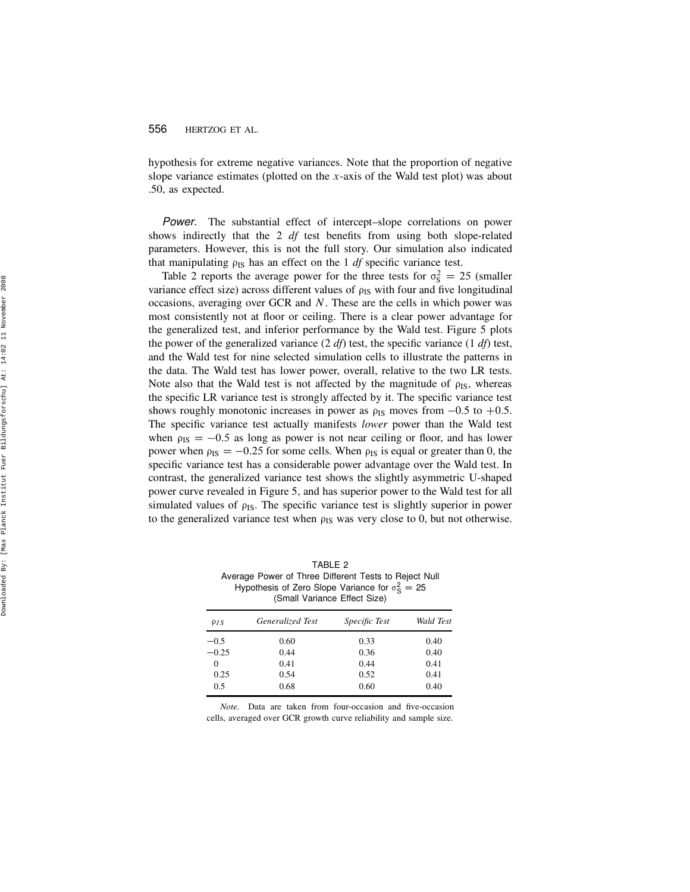hypothesis for extreme negative variances. Note that the proportion of negative slope variance estimates (plotted on the  $x$ -axis of the Wald test plot) was about .50, as expected.

Power. The substantial effect of intercept–slope correlations on power shows indirectly that the 2 df test benefits from using both slope-related parameters. However, this is not the full story. Our simulation also indicated that manipulating  $\rho_{IS}$  has an effect on the 1 *df* specific variance test.

Table 2 reports the average power for the three tests for  $\sigma_S^2 = 25$  (smaller variance effect size) across different values of  $\rho_{IS}$  with four and five longitudinal occasions, averaging over GCR and N. These are the cells in which power was most consistently not at floor or ceiling. There is a clear power advantage for the generalized test, and inferior performance by the Wald test. Figure 5 plots the power of the generalized variance  $(2 \text{ df})$  test, the specific variance  $(1 \text{ df})$  test, and the Wald test for nine selected simulation cells to illustrate the patterns in the data. The Wald test has lower power, overall, relative to the two LR tests. Note also that the Wald test is not affected by the magnitude of  $\rho_{IS}$ , whereas the specific LR variance test is strongly affected by it. The specific variance test shows roughly monotonic increases in power as  $\rho_{IS}$  moves from  $-0.5$  to  $+0.5$ . The specific variance test actually manifests *lower* power than the Wald test when  $\rho_{IS} = -0.5$  as long as power is not near ceiling or floor, and has lower power when  $\rho_{IS} = -0.25$  for some cells. When  $\rho_{IS}$  is equal or greater than 0, the specific variance test has a considerable power advantage over the Wald test. In contrast, the generalized variance test shows the slightly asymmetric U-shaped power curve revealed in Figure 5, and has superior power to the Wald test for all simulated values of  $\rho_{IS}$ . The specific variance test is slightly superior in power to the generalized variance test when  $\rho_{IS}$  was very close to 0, but not otherwise.

TABLE 2 Average Power of Three Different Tests to Reject Null Hypothesis of Zero Slope Variance for  $\sigma_S^2 = 25$ (Small Variance Effect Size)

| $\rho_{IS}$ | Generalized Test | <i>Specific Test</i> | Wald Test |
|-------------|------------------|----------------------|-----------|
| $-0.5$      | 0.60             | 0.33                 | 0.40      |
| $-0.25$     | 0.44             | 0.36                 | 0.40      |
| $\Omega$    | 0.41             | 0.44                 | 0.41      |
| 0.25        | 0.54             | 0.52                 | 0.41      |
| 0.5         | 0.68             | 0.60                 | 0.40      |

Note. Data are taken from four-occasion and five-occasion cells, averaged over GCR growth curve reliability and sample size.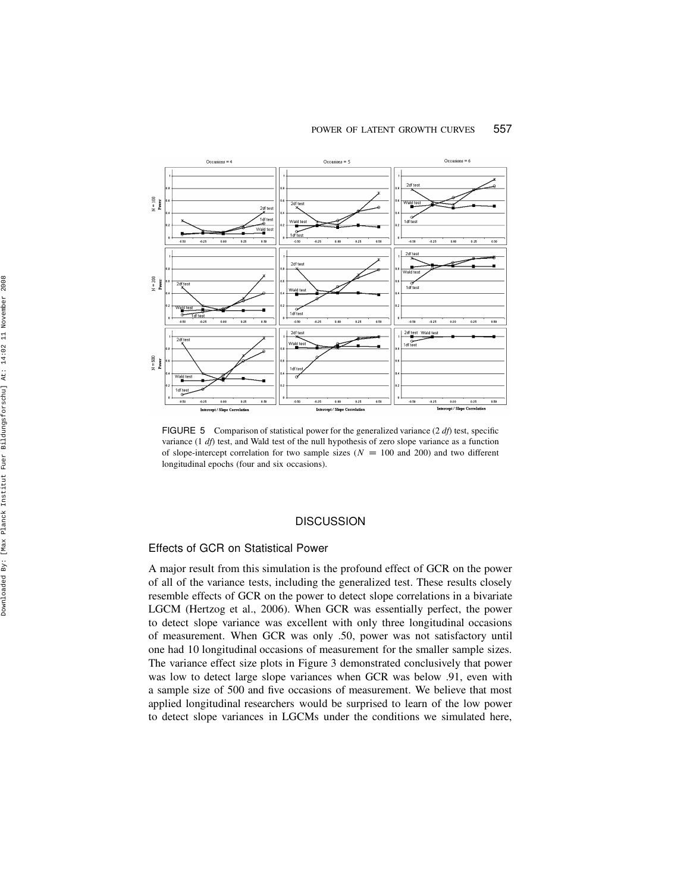#### POWER OF LATENT GROWTH CURVES 557



FIGURE 5 Comparison of statistical power for the generalized variance  $(2 \text{ df})$  test, specific variance  $(1 \text{ df})$  test, and Wald test of the null hypothesis of zero slope variance as a function of slope-intercept correlation for two sample sizes ( $N = 100$  and 200) and two different longitudinal epochs (four and six occasions).

# **DISCUSSION**

## Effects of GCR on Statistical Power

A major result from this simulation is the profound effect of GCR on the power of all of the variance tests, including the generalized test. These results closely resemble effects of GCR on the power to detect slope correlations in a bivariate LGCM (Hertzog et al., 2006). When GCR was essentially perfect, the power to detect slope variance was excellent with only three longitudinal occasions of measurement. When GCR was only .50, power was not satisfactory until one had 10 longitudinal occasions of measurement for the smaller sample sizes. The variance effect size plots in Figure 3 demonstrated conclusively that power was low to detect large slope variances when GCR was below .91, even with a sample size of 500 and five occasions of measurement. We believe that most applied longitudinal researchers would be surprised to learn of the low power to detect slope variances in LGCMs under the conditions we simulated here,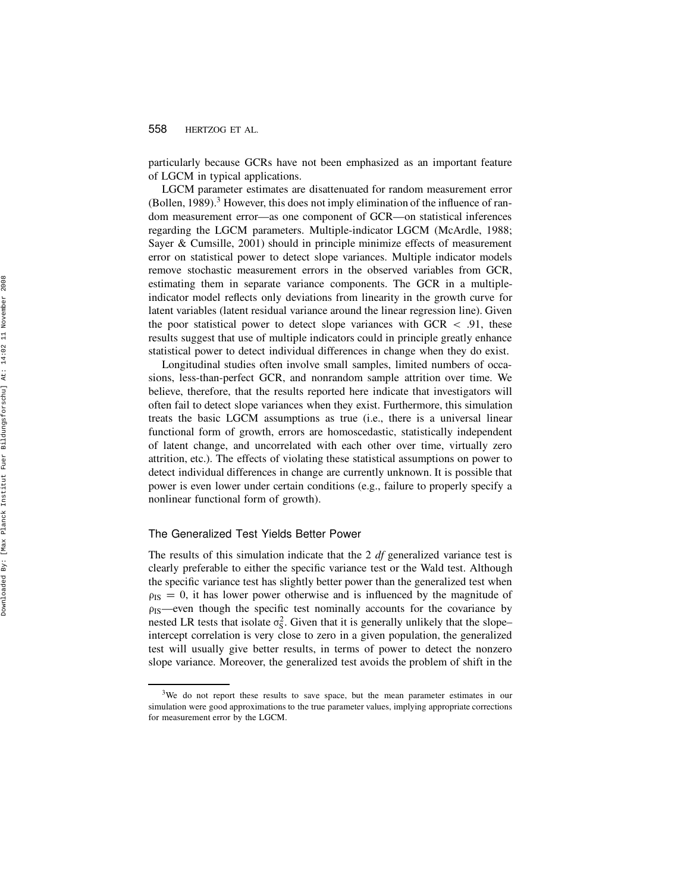particularly because GCRs have not been emphasized as an important feature of LGCM in typical applications.

LGCM parameter estimates are disattenuated for random measurement error (Bollen, 1989). <sup>3</sup> However, this does not imply elimination of the influence of random measurement error—as one component of GCR—on statistical inferences regarding the LGCM parameters. Multiple-indicator LGCM (McArdle, 1988; Sayer & Cumsille, 2001) should in principle minimize effects of measurement error on statistical power to detect slope variances. Multiple indicator models remove stochastic measurement errors in the observed variables from GCR, estimating them in separate variance components. The GCR in a multipleindicator model reflects only deviations from linearity in the growth curve for latent variables (latent residual variance around the linear regression line). Given the poor statistical power to detect slope variances with  $GCR < .91$ , these results suggest that use of multiple indicators could in principle greatly enhance statistical power to detect individual differences in change when they do exist.

Longitudinal studies often involve small samples, limited numbers of occasions, less-than-perfect GCR, and nonrandom sample attrition over time. We believe, therefore, that the results reported here indicate that investigators will often fail to detect slope variances when they exist. Furthermore, this simulation treats the basic LGCM assumptions as true (i.e., there is a universal linear functional form of growth, errors are homoscedastic, statistically independent of latent change, and uncorrelated with each other over time, virtually zero attrition, etc.). The effects of violating these statistical assumptions on power to detect individual differences in change are currently unknown. It is possible that power is even lower under certain conditions (e.g., failure to properly specify a nonlinear functional form of growth).

#### The Generalized Test Yields Better Power

The results of this simulation indicate that the 2  $df$  generalized variance test is clearly preferable to either the specific variance test or the Wald test. Although the specific variance test has slightly better power than the generalized test when  $\rho_{IS} = 0$ , it has lower power otherwise and is influenced by the magnitude of ¡IS—even though the specific test nominally accounts for the covariance by nested LR tests that isolate  $\sigma_S^2$ . Given that it is generally unlikely that the slope– intercept correlation is very close to zero in a given population, the generalized test will usually give better results, in terms of power to detect the nonzero slope variance. Moreover, the generalized test avoids the problem of shift in the

<sup>&</sup>lt;sup>3</sup>We do not report these results to save space, but the mean parameter estimates in our simulation were good approximations to the true parameter values, implying appropriate corrections for measurement error by the LGCM.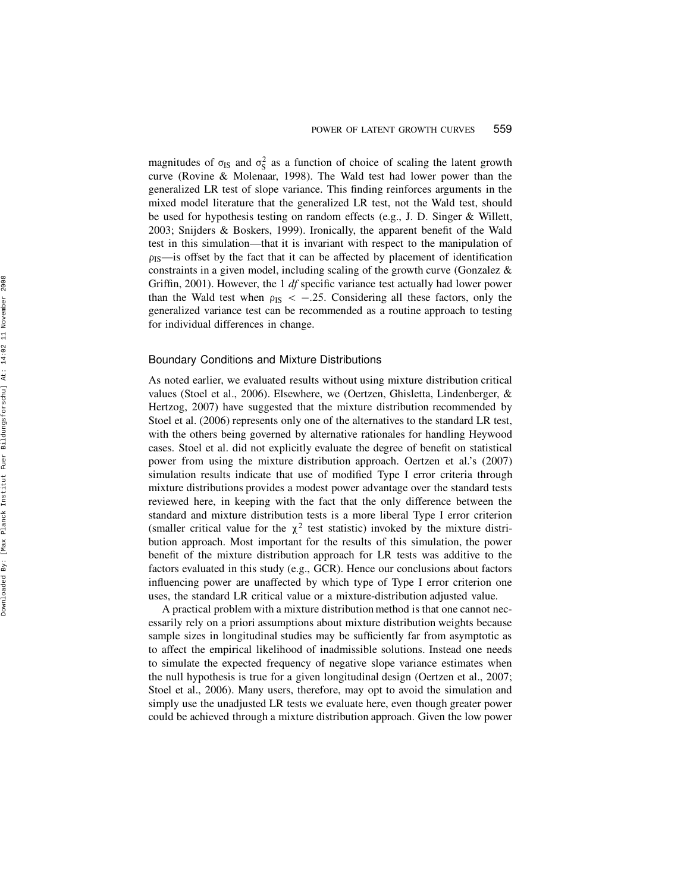magnitudes of  $\sigma_{IS}$  and  $\sigma_S^2$  as a function of choice of scaling the latent growth curve (Rovine & Molenaar, 1998). The Wald test had lower power than the generalized LR test of slope variance. This finding reinforces arguments in the mixed model literature that the generalized LR test, not the Wald test, should be used for hypothesis testing on random effects (e.g., J. D. Singer & Willett, 2003; Snijders & Boskers, 1999). Ironically, the apparent benefit of the Wald test in this simulation—that it is invariant with respect to the manipulation of  $\rho_{IS}$ —is offset by the fact that it can be affected by placement of identification constraints in a given model, including scaling of the growth curve (Gonzalez & Griffin, 2001). However, the 1 df specific variance test actually had lower power than the Wald test when  $\rho_{IS} < -0.25$ . Considering all these factors, only the generalized variance test can be recommended as a routine approach to testing for individual differences in change.

#### Boundary Conditions and Mixture Distributions

As noted earlier, we evaluated results without using mixture distribution critical values (Stoel et al., 2006). Elsewhere, we (Oertzen, Ghisletta, Lindenberger, & Hertzog, 2007) have suggested that the mixture distribution recommended by Stoel et al. (2006) represents only one of the alternatives to the standard LR test, with the others being governed by alternative rationales for handling Heywood cases. Stoel et al. did not explicitly evaluate the degree of benefit on statistical power from using the mixture distribution approach. Oertzen et al.'s (2007) simulation results indicate that use of modified Type I error criteria through mixture distributions provides a modest power advantage over the standard tests reviewed here, in keeping with the fact that the only difference between the standard and mixture distribution tests is a more liberal Type I error criterion (smaller critical value for the  $\chi^2$  test statistic) invoked by the mixture distribution approach. Most important for the results of this simulation, the power benefit of the mixture distribution approach for LR tests was additive to the factors evaluated in this study (e.g., GCR). Hence our conclusions about factors influencing power are unaffected by which type of Type I error criterion one uses, the standard LR critical value or a mixture-distribution adjusted value.

A practical problem with a mixture distribution method is that one cannot necessarily rely on a priori assumptions about mixture distribution weights because sample sizes in longitudinal studies may be sufficiently far from asymptotic as to affect the empirical likelihood of inadmissible solutions. Instead one needs to simulate the expected frequency of negative slope variance estimates when the null hypothesis is true for a given longitudinal design (Oertzen et al., 2007; Stoel et al., 2006). Many users, therefore, may opt to avoid the simulation and simply use the unadjusted LR tests we evaluate here, even though greater power could be achieved through a mixture distribution approach. Given the low power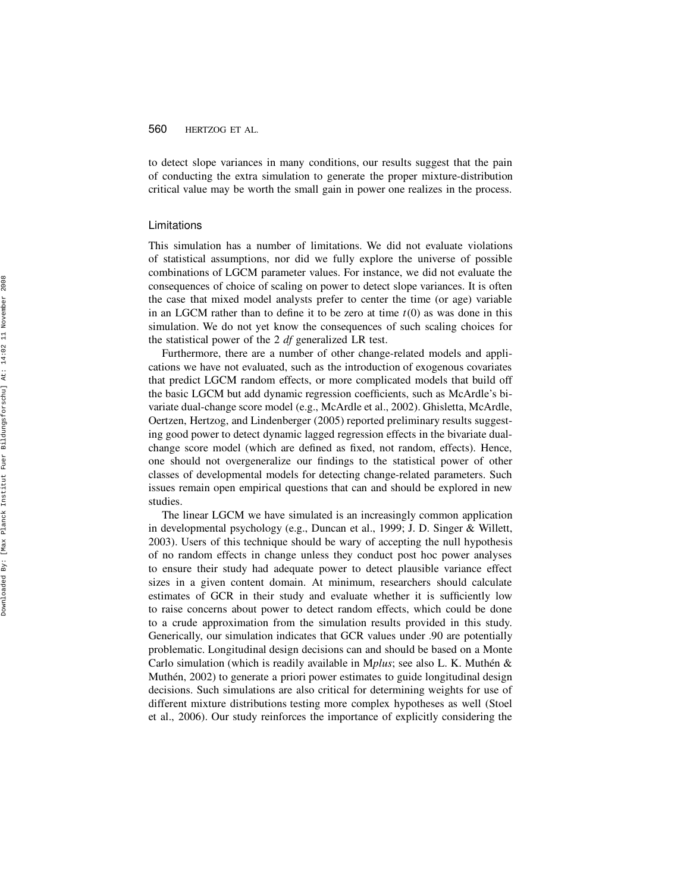to detect slope variances in many conditions, our results suggest that the pain of conducting the extra simulation to generate the proper mixture-distribution critical value may be worth the small gain in power one realizes in the process.

#### Limitations

This simulation has a number of limitations. We did not evaluate violations of statistical assumptions, nor did we fully explore the universe of possible combinations of LGCM parameter values. For instance, we did not evaluate the consequences of choice of scaling on power to detect slope variances. It is often the case that mixed model analysts prefer to center the time (or age) variable in an LGCM rather than to define it to be zero at time  $t(0)$  as was done in this simulation. We do not yet know the consequences of such scaling choices for the statistical power of the  $2 df$  generalized LR test.

Furthermore, there are a number of other change-related models and applications we have not evaluated, such as the introduction of exogenous covariates that predict LGCM random effects, or more complicated models that build off the basic LGCM but add dynamic regression coefficients, such as McArdle's bivariate dual-change score model (e.g., McArdle et al., 2002). Ghisletta, McArdle, Oertzen, Hertzog, and Lindenberger (2005) reported preliminary results suggesting good power to detect dynamic lagged regression effects in the bivariate dualchange score model (which are defined as fixed, not random, effects). Hence, one should not overgeneralize our findings to the statistical power of other classes of developmental models for detecting change-related parameters. Such issues remain open empirical questions that can and should be explored in new studies.

The linear LGCM we have simulated is an increasingly common application in developmental psychology (e.g., Duncan et al., 1999; J. D. Singer & Willett, 2003). Users of this technique should be wary of accepting the null hypothesis of no random effects in change unless they conduct post hoc power analyses to ensure their study had adequate power to detect plausible variance effect sizes in a given content domain. At minimum, researchers should calculate estimates of GCR in their study and evaluate whether it is sufficiently low to raise concerns about power to detect random effects, which could be done to a crude approximation from the simulation results provided in this study. Generically, our simulation indicates that GCR values under .90 are potentially problematic. Longitudinal design decisions can and should be based on a Monte Carlo simulation (which is readily available in Mplus; see also L. K. Muthén & Muthén, 2002) to generate a priori power estimates to guide longitudinal design decisions. Such simulations are also critical for determining weights for use of different mixture distributions testing more complex hypotheses as well (Stoel et al., 2006). Our study reinforces the importance of explicitly considering the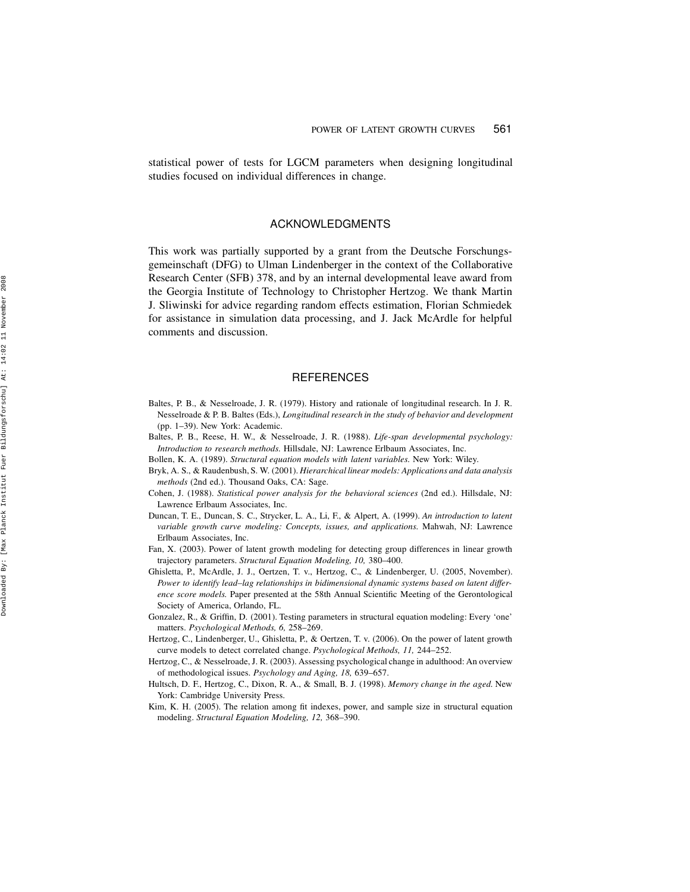statistical power of tests for LGCM parameters when designing longitudinal studies focused on individual differences in change.

# ACKNOWLEDGMENTS

This work was partially supported by a grant from the Deutsche Forschungsgemeinschaft (DFG) to Ulman Lindenberger in the context of the Collaborative Research Center (SFB) 378, and by an internal developmental leave award from the Georgia Institute of Technology to Christopher Hertzog. We thank Martin J. Sliwinski for advice regarding random effects estimation, Florian Schmiedek for assistance in simulation data processing, and J. Jack McArdle for helpful comments and discussion.

# **REFERENCES**

- Baltes, P. B., & Nesselroade, J. R. (1979). History and rationale of longitudinal research. In J. R. Nesselroade & P. B. Baltes (Eds.), Longitudinal research in the study of behavior and development (pp. 1–39). New York: Academic.
- Baltes, P. B., Reese, H. W., & Nesselroade, J. R. (1988). Life-span developmental psychology: Introduction to research methods. Hillsdale, NJ: Lawrence Erlbaum Associates, Inc.
- Bollen, K. A. (1989). Structural equation models with latent variables. New York: Wiley.
- Bryk, A. S., & Raudenbush, S. W. (2001). Hierarchical linear models: Applications and data analysis methods (2nd ed.). Thousand Oaks, CA: Sage.
- Cohen, J. (1988). Statistical power analysis for the behavioral sciences (2nd ed.). Hillsdale, NJ: Lawrence Erlbaum Associates, Inc.
- Duncan, T. E., Duncan, S. C., Strycker, L. A., Li, F., & Alpert, A. (1999). An introduction to latent variable growth curve modeling: Concepts, issues, and applications. Mahwah, NJ: Lawrence Erlbaum Associates, Inc.
- Fan, X. (2003). Power of latent growth modeling for detecting group differences in linear growth trajectory parameters. Structural Equation Modeling, 10, 380–400.
- Ghisletta, P., McArdle, J. J., Oertzen, T. v., Hertzog, C., & Lindenberger, U. (2005, November). Power to identify lead–lag relationships in bidimensional dynamic systems based on latent difference score models. Paper presented at the 58th Annual Scientific Meeting of the Gerontological Society of America, Orlando, FL.
- Gonzalez, R., & Griffin, D. (2001). Testing parameters in structural equation modeling: Every 'one' matters. Psychological Methods, 6, 258–269.
- Hertzog, C., Lindenberger, U., Ghisletta, P., & Oertzen, T. v. (2006). On the power of latent growth curve models to detect correlated change. Psychological Methods, 11, 244–252.
- Hertzog, C., & Nesselroade, J. R. (2003). Assessing psychological change in adulthood: An overview of methodological issues. Psychology and Aging, 18, 639–657.
- Hultsch, D. F., Hertzog, C., Dixon, R. A., & Small, B. J. (1998). Memory change in the aged. New York: Cambridge University Press.
- Kim, K. H. (2005). The relation among fit indexes, power, and sample size in structural equation modeling. Structural Equation Modeling, 12, 368–390.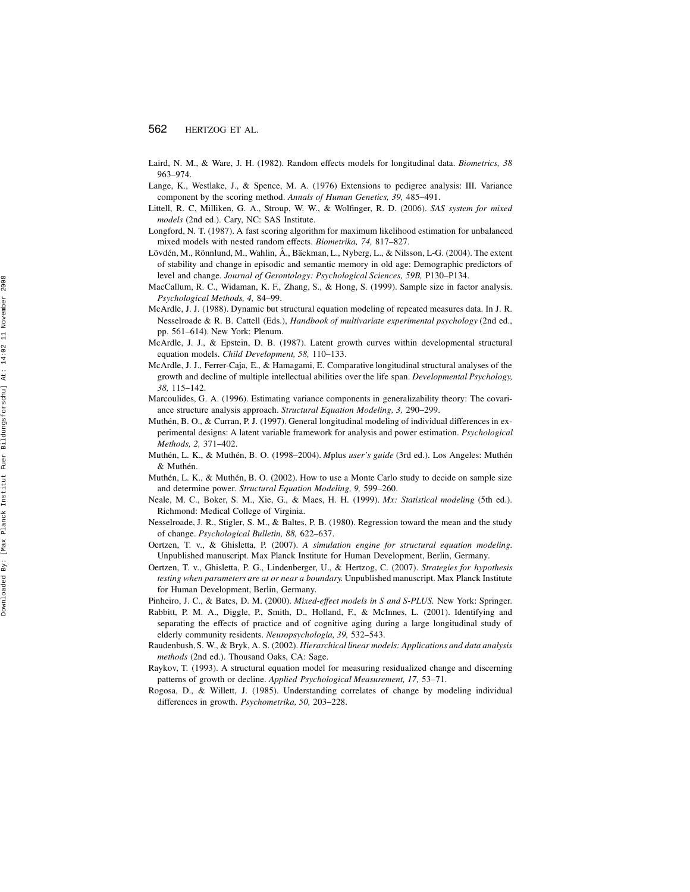- Laird, N. M., & Ware, J. H. (1982). Random effects models for longitudinal data. Biometrics, 38 963–974.
- Lange, K., Westlake, J., & Spence, M. A. (1976) Extensions to pedigree analysis: III. Variance component by the scoring method. Annals of Human Genetics, 39, 485–491.
- Littell, R. C, Milliken, G. A., Stroup, W. W., & Wolfinger, R. D. (2006). SAS system for mixed models (2nd ed.). Cary, NC: SAS Institute.
- Longford, N. T. (1987). A fast scoring algorithm for maximum likelihood estimation for unbalanced mixed models with nested random effects. Biometrika, 74, 817–827.
- Lövdén, M., Rönnlund, M., Wahlin, Å., Bäckman, L., Nyberg, L., & Nilsson, L-G. (2004). The extent of stability and change in episodic and semantic memory in old age: Demographic predictors of level and change. Journal of Gerontology: Psychological Sciences, 59B, P130–P134.
- MacCallum, R. C., Widaman, K. F., Zhang, S., & Hong, S. (1999). Sample size in factor analysis. Psychological Methods, 4, 84–99.
- McArdle, J. J. (1988). Dynamic but structural equation modeling of repeated measures data. In J. R. Nesselroade & R. B. Cattell (Eds.), Handbook of multivariate experimental psychology (2nd ed., pp. 561–614). New York: Plenum.
- McArdle, J. J., & Epstein, D. B. (1987). Latent growth curves within developmental structural equation models. Child Development, 58, 110–133.
- McArdle, J. J., Ferrer-Caja, E., & Hamagami, E. Comparative longitudinal structural analyses of the growth and decline of multiple intellectual abilities over the life span. Developmental Psychology, 38, 115–142.
- Marcoulides, G. A. (1996). Estimating variance components in generalizability theory: The covariance structure analysis approach. Structural Equation Modeling, 3, 290–299.
- Muthén, B. O., & Curran, P. J. (1997). General longitudinal modeling of individual differences in experimental designs: A latent variable framework for analysis and power estimation. Psychological Methods, 2, 371–402.
- Muthén, L. K., & Muthén, B. O. (1998–2004). Mplus user's guide (3rd ed.). Los Angeles: Muthén & Muthén.
- Muthén, L. K., & Muthén, B. O. (2002). How to use a Monte Carlo study to decide on sample size and determine power. Structural Equation Modeling, 9, 599–260.
- Neale, M. C., Boker, S. M., Xie, G., & Maes, H. H. (1999). Mx: Statistical modeling (5th ed.). Richmond: Medical College of Virginia.
- Nesselroade, J. R., Stigler, S. M., & Baltes, P. B. (1980). Regression toward the mean and the study of change. Psychological Bulletin, 88, 622–637.
- Oertzen, T. v., & Ghisletta, P. (2007). A simulation engine for structural equation modeling. Unpublished manuscript. Max Planck Institute for Human Development, Berlin, Germany.
- Oertzen, T. v., Ghisletta, P. G., Lindenberger, U., & Hertzog, C. (2007). Strategies for hypothesis testing when parameters are at or near a boundary. Unpublished manuscript. Max Planck Institute for Human Development, Berlin, Germany.
- Pinheiro, J. C., & Bates, D. M. (2000). Mixed-effect models in S and S-PLUS. New York: Springer.
- Rabbitt, P. M. A., Diggle, P., Smith, D., Holland, F., & McInnes, L. (2001). Identifying and separating the effects of practice and of cognitive aging during a large longitudinal study of elderly community residents. Neuropsychologia, 39, 532–543.
- Raudenbush, S. W., & Bryk, A. S. (2002). Hierarchical linear models: Applications and data analysis methods (2nd ed.). Thousand Oaks, CA: Sage.
- Raykov, T. (1993). A structural equation model for measuring residualized change and discerning patterns of growth or decline. Applied Psychological Measurement, 17, 53–71.
- Rogosa, D., & Willett, J. (1985). Understanding correlates of change by modeling individual differences in growth. Psychometrika, 50, 203–228.